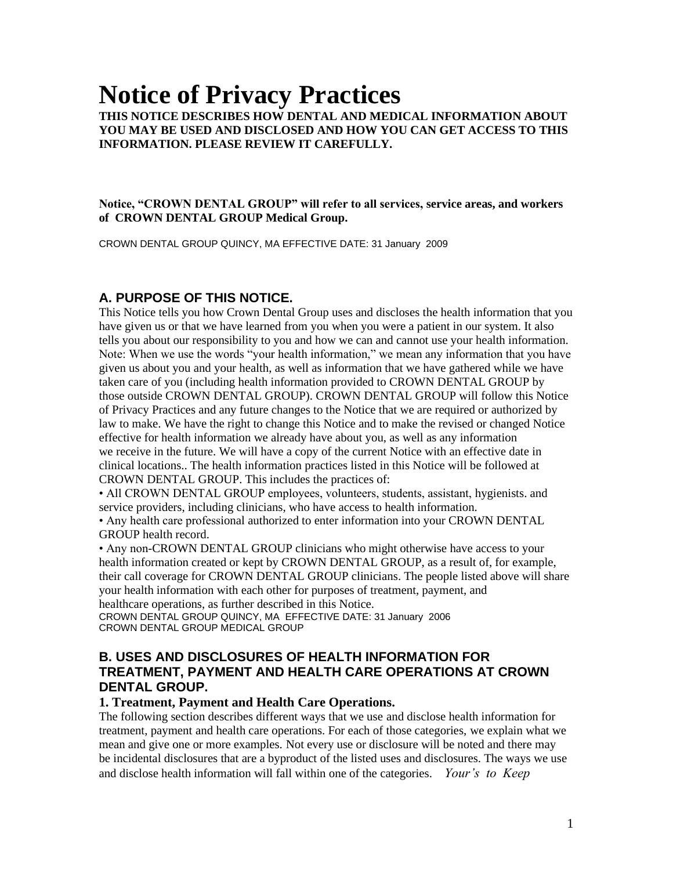# **Notice of Privacy Practices**

**THIS NOTICE DESCRIBES HOW DENTAL AND MEDICAL INFORMATION ABOUT YOU MAY BE USED AND DISCLOSED AND HOW YOU CAN GET ACCESS TO THIS INFORMATION. PLEASE REVIEW IT CAREFULLY.**

#### **Notice, "CROWN DENTAL GROUP" will refer to all services, service areas, and workers of CROWN DENTAL GROUP Medical Group.**

CROWN DENTAL GROUP QUINCY, MA EFFECTIVE DATE: 31 January 2009

# **A. PURPOSE OF THIS NOTICE.**

This Notice tells you how Crown Dental Group uses and discloses the health information that you have given us or that we have learned from you when you were a patient in our system. It also tells you about our responsibility to you and how we can and cannot use your health information. Note: When we use the words "your health information," we mean any information that you have given us about you and your health, as well as information that we have gathered while we have taken care of you (including health information provided to CROWN DENTAL GROUP by those outside CROWN DENTAL GROUP). CROWN DENTAL GROUP will follow this Notice of Privacy Practices and any future changes to the Notice that we are required or authorized by law to make. We have the right to change this Notice and to make the revised or changed Notice effective for health information we already have about you, as well as any information we receive in the future. We will have a copy of the current Notice with an effective date in clinical locations.. The health information practices listed in this Notice will be followed at CROWN DENTAL GROUP. This includes the practices of:

• All CROWN DENTAL GROUP employees, volunteers, students, assistant, hygienists. and service providers, including clinicians, who have access to health information.

• Any health care professional authorized to enter information into your CROWN DENTAL GROUP health record.

• Any non-CROWN DENTAL GROUP clinicians who might otherwise have access to your health information created or kept by CROWN DENTAL GROUP, as a result of, for example, their call coverage for CROWN DENTAL GROUP clinicians. The people listed above will share your health information with each other for purposes of treatment, payment, and healthcare operations, as further described in this Notice.

CROWN DENTAL GROUP QUINCY, MA EFFECTIVE DATE: 31 January 2006 CROWN DENTAL GROUP MEDICAL GROUP

## **B. USES AND DISCLOSURES OF HEALTH INFORMATION FOR TREATMENT, PAYMENT AND HEALTH CARE OPERATIONS AT CROWN DENTAL GROUP.**

#### **1. Treatment, Payment and Health Care Operations.**

The following section describes different ways that we use and disclose health information for treatment, payment and health care operations. For each of those categories, we explain what we mean and give one or more examples. Not every use or disclosure will be noted and there may be incidental disclosures that are a byproduct of the listed uses and disclosures. The ways we use and disclose health information will fall within one of the categories. *Your's to Keep*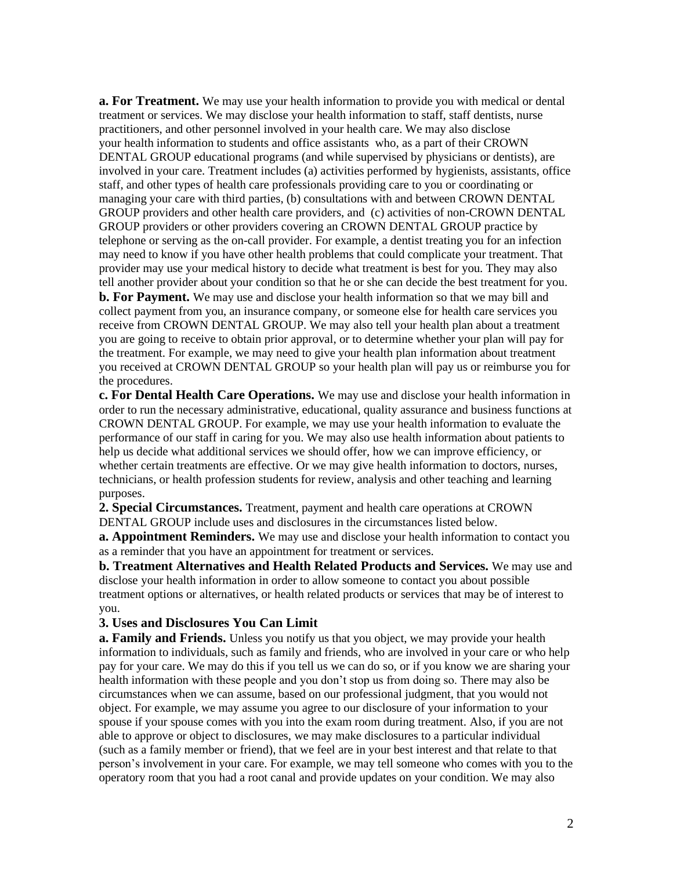**a. For Treatment.** We may use your health information to provide you with medical or dental treatment or services. We may disclose your health information to staff, staff dentists, nurse practitioners, and other personnel involved in your health care. We may also disclose your health information to students and office assistants who, as a part of their CROWN DENTAL GROUP educational programs (and while supervised by physicians or dentists), are involved in your care. Treatment includes (a) activities performed by hygienists, assistants, office staff, and other types of health care professionals providing care to you or coordinating or managing your care with third parties, (b) consultations with and between CROWN DENTAL GROUP providers and other health care providers, and (c) activities of non-CROWN DENTAL GROUP providers or other providers covering an CROWN DENTAL GROUP practice by telephone or serving as the on-call provider. For example, a dentist treating you for an infection may need to know if you have other health problems that could complicate your treatment. That provider may use your medical history to decide what treatment is best for you. They may also tell another provider about your condition so that he or she can decide the best treatment for you.

**b. For Payment.** We may use and disclose your health information so that we may bill and collect payment from you, an insurance company, or someone else for health care services you receive from CROWN DENTAL GROUP. We may also tell your health plan about a treatment you are going to receive to obtain prior approval, or to determine whether your plan will pay for the treatment. For example, we may need to give your health plan information about treatment you received at CROWN DENTAL GROUP so your health plan will pay us or reimburse you for the procedures.

**c. For Dental Health Care Operations.** We may use and disclose your health information in order to run the necessary administrative, educational, quality assurance and business functions at CROWN DENTAL GROUP. For example, we may use your health information to evaluate the performance of our staff in caring for you. We may also use health information about patients to help us decide what additional services we should offer, how we can improve efficiency, or whether certain treatments are effective. Or we may give health information to doctors, nurses, technicians, or health profession students for review, analysis and other teaching and learning purposes.

**2. Special Circumstances.** Treatment, payment and health care operations at CROWN DENTAL GROUP include uses and disclosures in the circumstances listed below.

**a. Appointment Reminders.** We may use and disclose your health information to contact you as a reminder that you have an appointment for treatment or services.

**b. Treatment Alternatives and Health Related Products and Services.** We may use and disclose your health information in order to allow someone to contact you about possible treatment options or alternatives, or health related products or services that may be of interest to you.

#### **3. Uses and Disclosures You Can Limit**

**a. Family and Friends.** Unless you notify us that you object, we may provide your health information to individuals, such as family and friends, who are involved in your care or who help pay for your care. We may do this if you tell us we can do so, or if you know we are sharing your health information with these people and you don't stop us from doing so. There may also be circumstances when we can assume, based on our professional judgment, that you would not object. For example, we may assume you agree to our disclosure of your information to your spouse if your spouse comes with you into the exam room during treatment. Also, if you are not able to approve or object to disclosures, we may make disclosures to a particular individual (such as a family member or friend), that we feel are in your best interest and that relate to that person's involvement in your care. For example, we may tell someone who comes with you to the operatory room that you had a root canal and provide updates on your condition. We may also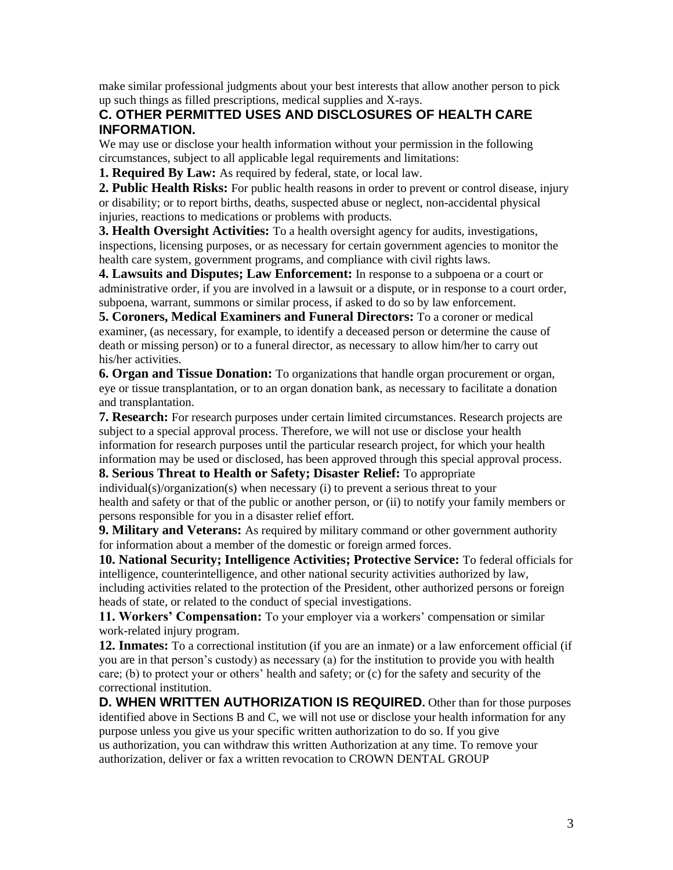make similar professional judgments about your best interests that allow another person to pick up such things as filled prescriptions, medical supplies and X-rays.

# **C. OTHER PERMITTED USES AND DISCLOSURES OF HEALTH CARE INFORMATION.**

We may use or disclose your health information without your permission in the following circumstances, subject to all applicable legal requirements and limitations:

**1. Required By Law:** As required by federal, state, or local law.

**2. Public Health Risks:** For public health reasons in order to prevent or control disease, injury or disability; or to report births, deaths, suspected abuse or neglect, non-accidental physical injuries, reactions to medications or problems with products.

**3. Health Oversight Activities:** To a health oversight agency for audits, investigations, inspections, licensing purposes, or as necessary for certain government agencies to monitor the health care system, government programs, and compliance with civil rights laws.

**4. Lawsuits and Disputes; Law Enforcement:** In response to a subpoena or a court or administrative order, if you are involved in a lawsuit or a dispute, or in response to a court order, subpoena, warrant, summons or similar process, if asked to do so by law enforcement.

**5. Coroners, Medical Examiners and Funeral Directors:** To a coroner or medical examiner, (as necessary, for example, to identify a deceased person or determine the cause of death or missing person) or to a funeral director, as necessary to allow him/her to carry out his/her activities.

**6. Organ and Tissue Donation:** To organizations that handle organ procurement or organ, eye or tissue transplantation, or to an organ donation bank, as necessary to facilitate a donation and transplantation.

**7. Research:** For research purposes under certain limited circumstances. Research projects are subject to a special approval process. Therefore, we will not use or disclose your health information for research purposes until the particular research project, for which your health information may be used or disclosed, has been approved through this special approval process.

**8. Serious Threat to Health or Safety; Disaster Relief:** To appropriate individual(s)/organization(s) when necessary (i) to prevent a serious threat to your health and safety or that of the public or another person, or (ii) to notify your family members or persons responsible for you in a disaster relief effort.

**9. Military and Veterans:** As required by military command or other government authority for information about a member of the domestic or foreign armed forces.

**10. National Security; Intelligence Activities; Protective Service:** To federal officials for intelligence, counterintelligence, and other national security activities authorized by law, including activities related to the protection of the President, other authorized persons or foreign heads of state, or related to the conduct of special investigations.

**11. Workers' Compensation:** To your employer via a workers' compensation or similar work-related injury program.

**12. Inmates:** To a correctional institution (if you are an inmate) or a law enforcement official (if you are in that person's custody) as necessary (a) for the institution to provide you with health care; (b) to protect your or others' health and safety; or (c) for the safety and security of the correctional institution.

**D. WHEN WRITTEN AUTHORIZATION IS REQUIRED.** Other than for those purposes identified above in Sections B and C, we will not use or disclose your health information for any purpose unless you give us your specific written authorization to do so. If you give us authorization, you can withdraw this written Authorization at any time. To remove your authorization, deliver or fax a written revocation to CROWN DENTAL GROUP